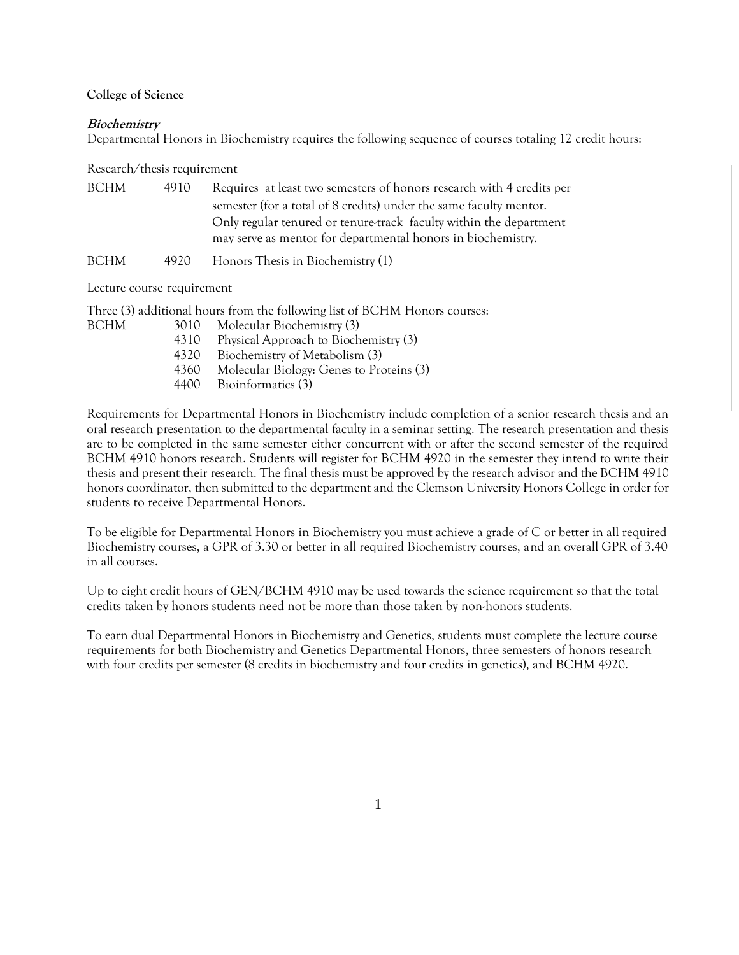#### **College of Science**

### **Biochemistry**

Departmental Honors in Biochemistry requires the following sequence of courses totaling 12 credit hours:

Research/thesis requirement

| BCHM - | 4910 | Requires at least two semesters of honors research with 4 credits per |
|--------|------|-----------------------------------------------------------------------|
|        |      | semester (for a total of 8 credits) under the same faculty mentor.    |
|        |      | Only regular tenured or tenure-track faculty within the department    |
|        |      | may serve as mentor for departmental honors in biochemistry.          |
|        |      |                                                                       |

BCHM 4920 Honors Thesis in Biochemistry (1)

Lecture course requirement

Three (3) additional hours from the following list of BCHM Honors courses:

- BCHM 3010 Molecular Biochemistry (3)
	- 4310 Physical Approach to Biochemistry (3)
	- 4320 Biochemistry of Metabolism (3)
	- 4360 Molecular Biology: Genes to Proteins (3)
	- 4400 Bioinformatics (3)

Requirements for Departmental Honors in Biochemistry include completion of a senior research thesis and an oral research presentation to the departmental faculty in a seminar setting. The research presentation and thesis are to be completed in the same semester either concurrent with or after the second semester of the required BCHM 4910 honors research. Students will register for BCHM 4920 in the semester they intend to write their thesis and present their research. The final thesis must be approved by the research advisor and the BCHM 4910 honors coordinator, then submitted to the department and the Clemson University Honors College in order for students to receive Departmental Honors.

To be eligible for Departmental Honors in Biochemistry you must achieve a grade of C or better in all required Biochemistry courses, a GPR of 3.30 or better in all required Biochemistry courses, and an overall GPR of 3.40 in all courses.

Up to eight credit hours of GEN/BCHM 4910 may be used towards the science requirement so that the total credits taken by honors students need not be more than those taken by non-honors students.

To earn dual Departmental Honors in Biochemistry and Genetics, students must complete the lecture course requirements for both Biochemistry and Genetics Departmental Honors, three semesters of honors research with four credits per semester (8 credits in biochemistry and four credits in genetics), and BCHM 4920.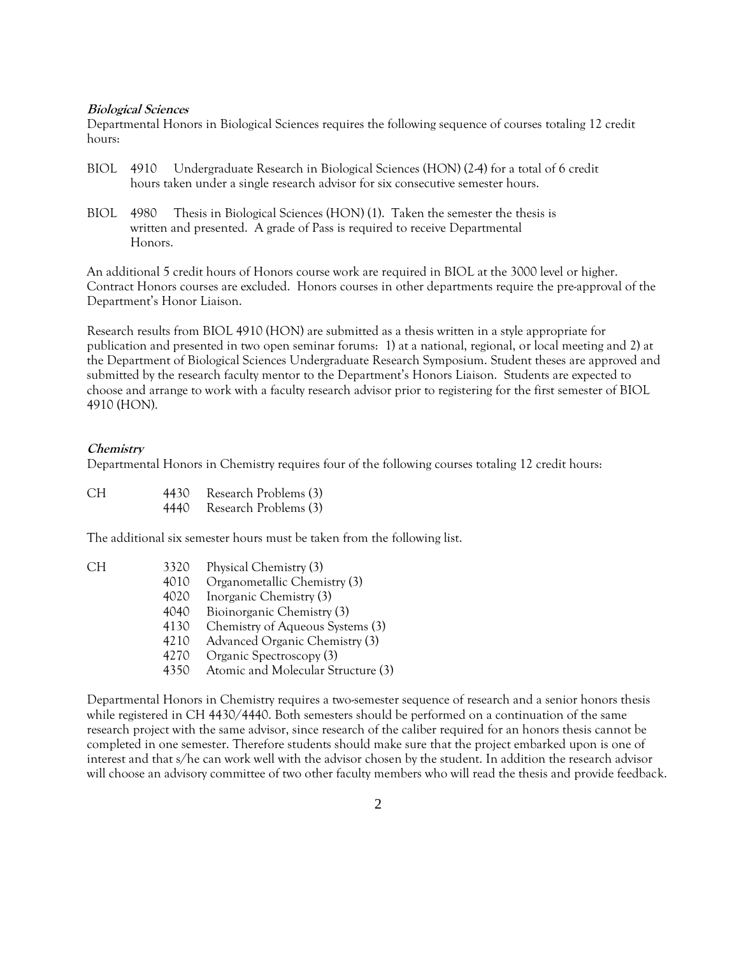### **Biological Sciences**

Departmental Honors in Biological Sciences requires the following sequence of courses totaling 12 credit hours:

- BIOL 4910 Undergraduate Research in Biological Sciences (HON) (2-4) for a total of 6 credit hours taken under a single research advisor for six consecutive semester hours.
- BIOL 4980 Thesis in Biological Sciences (HON) (1). Taken the semester the thesis is written and presented. A grade of Pass is required to receive Departmental Honors.

An additional 5 credit hours of Honors course work are required in BIOL at the 3000 level or higher. Contract Honors courses are excluded. Honors courses in other departments require the pre-approval of the Department's Honor Liaison.

Research results from BIOL 4910 (HON) are submitted as a thesis written in a style appropriate for publication and presented in two open seminar forums: 1) at a national, regional, or local meeting and 2) at the Department of Biological Sciences Undergraduate Research Symposium. Student theses are approved and submitted by the research faculty mentor to the Department's Honors Liaison. Students are expected to choose and arrange to work with a faculty research advisor prior to registering for the first semester of BIOL 4910 (HON).

## **Chemistry**

Departmental Honors in Chemistry requires four of the following courses totaling 12 credit hours:

| CH. | 4430 | Research Problems (3) |
|-----|------|-----------------------|
|     | 4440 | Research Problems (3) |

The additional six semester hours must be taken from the following list.

| СH | 3320 | Physical Chemistry (3)             |
|----|------|------------------------------------|
|    | 4010 | Organometallic Chemistry (3)       |
|    | 4020 | Inorganic Chemistry (3)            |
|    | 4040 | Bioinorganic Chemistry (3)         |
|    | 4130 | Chemistry of Aqueous Systems (3)   |
|    | 4210 | Advanced Organic Chemistry (3)     |
|    | 4270 | Organic Spectroscopy (3)           |
|    | 4350 | Atomic and Molecular Structure (3) |
|    |      |                                    |

Departmental Honors in Chemistry requires a two-semester sequence of research and a senior honors thesis while registered in CH 4430/4440. Both semesters should be performed on a continuation of the same research project with the same advisor, since research of the caliber required for an honors thesis cannot be completed in one semester. Therefore students should make sure that the project embarked upon is one of interest and that s/he can work well with the advisor chosen by the student. In addition the research advisor will choose an advisory committee of two other faculty members who will read the thesis and provide feedback.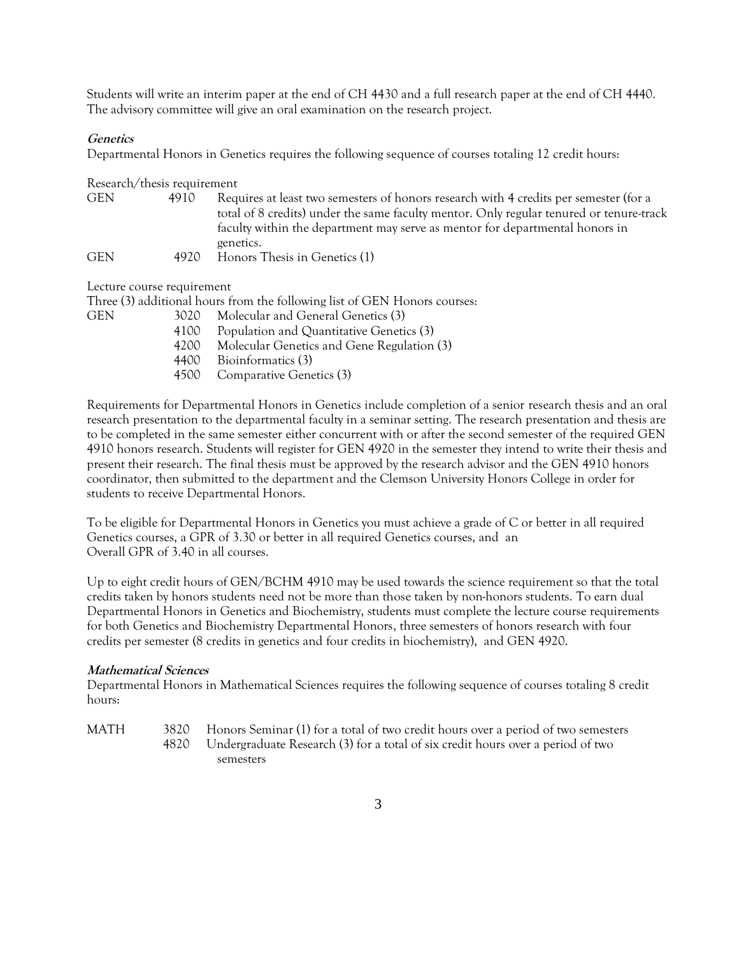Students will write an interim paper at the end of CH 4430 and a full research paper at the end of CH 4440. The advisory committee will give an oral examination on the research project.

# **Genetics**

Departmental Honors in Genetics requires the following sequence of courses totaling 12 credit hours:

Research/thesis requirement

| <b>GEN</b> | 4910 | Requires at least two semesters of honors research with 4 credits per semester (for a   |
|------------|------|-----------------------------------------------------------------------------------------|
|            |      | total of 8 credits) under the same faculty mentor. Only regular tenured or tenure-track |
|            |      | faculty within the department may serve as mentor for departmental honors in            |
|            |      | genetics.                                                                               |
| <b>GEN</b> | 4920 | Honors Thesis in Genetics (1)                                                           |

Lecture course requirement

Three (3) additional hours from the following list of GEN Honors courses:

| <b>GEN</b> | 3020              | Molecular and General Genetics (3)         |
|------------|-------------------|--------------------------------------------|
|            | 4100              | Population and Quantitative Genetics (3)   |
|            | 4200              | Molecular Genetics and Gene Regulation (3) |
|            | 4400 <sup>-</sup> | Bioinformatics (3)                         |
|            |                   | 4500 Comparative Genetics (3)              |

Requirements for Departmental Honors in Genetics include completion of a senior research thesis and an oral research presentation to the departmental faculty in a seminar setting. The research presentation and thesis are to be completed in the same semester either concurrent with or after the second semester of the required GEN 4910 honors research. Students will register for GEN 4920 in the semester they intend to write their thesis and present their research. The final thesis must be approved by the research advisor and the GEN 4910 honors coordinator, then submitted to the department and the Clemson University Honors College in order for students to receive Departmental Honors.

To be eligible for Departmental Honors in Genetics you must achieve a grade of C or better in all required Genetics courses, a GPR of 3.30 or better in all required Genetics courses, and an Overall GPR of 3.40 in all courses.

Up to eight credit hours of GEN/BCHM 4910 may be used towards the science requirement so that the total credits taken by honors students need not be more than those taken by non-honors students. To earn dual Departmental Honors in Genetics and Biochemistry, students must complete the lecture course requirements for both Genetics and Biochemistry Departmental Honors, three semesters of honors research with four credits per semester (8 credits in genetics and four credits in biochemistry), and GEN 4920.

## **Mathematical Sciences**

Departmental Honors in Mathematical Sciences requires the following sequence of courses totaling 8 credit hours:

MATH 3820 Honors Seminar (1) for a total of two credit hours over a period of two semesters

4820 Undergraduate Research (3) for a total of six credit hours over a period of two semesters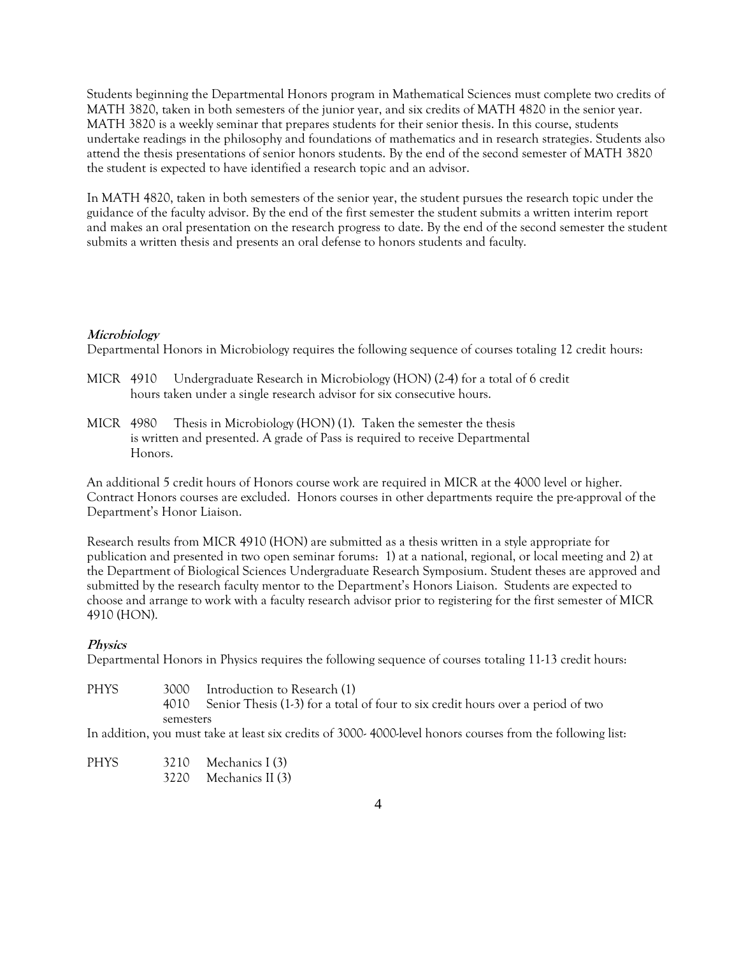Students beginning the Departmental Honors program in Mathematical Sciences must complete two credits of MATH 3820, taken in both semesters of the junior year, and six credits of MATH 4820 in the senior year. MATH 3820 is a weekly seminar that prepares students for their senior thesis. In this course, students undertake readings in the philosophy and foundations of mathematics and in research strategies. Students also attend the thesis presentations of senior honors students. By the end of the second semester of MATH 3820 the student is expected to have identified a research topic and an advisor.

In MATH 4820, taken in both semesters of the senior year, the student pursues the research topic under the guidance of the faculty advisor. By the end of the first semester the student submits a written interim report and makes an oral presentation on the research progress to date. By the end of the second semester the student submits a written thesis and presents an oral defense to honors students and faculty.

## **Microbiology**

Departmental Honors in Microbiology requires the following sequence of courses totaling 12 credit hours:

- MICR 4910 Undergraduate Research in Microbiology (HON) (2-4) for a total of 6 credit hours taken under a single research advisor for six consecutive hours.
- MICR 4980 Thesis in Microbiology (HON) (1). Taken the semester the thesis is written and presented. A grade of Pass is required to receive Departmental Honors.

An additional 5 credit hours of Honors course work are required in MICR at the 4000 level or higher. Contract Honors courses are excluded. Honors courses in other departments require the pre-approval of the Department's Honor Liaison.

Research results from MICR 4910 (HON) are submitted as a thesis written in a style appropriate for publication and presented in two open seminar forums: 1) at a national, regional, or local meeting and 2) at the Department of Biological Sciences Undergraduate Research Symposium. Student theses are approved and submitted by the research faculty mentor to the Department's Honors Liaison. Students are expected to choose and arrange to work with a faculty research advisor prior to registering for the first semester of MICR 4910 (HON).

## **Physics**

Departmental Honors in Physics requires the following sequence of courses totaling 11-13 credit hours:

- PHYS 3000 Introduction to Research (1)
	- 4010 Senior Thesis (1-3) for a total of four to six credit hours over a period of two semesters

In addition, you must take at least six credits of 3000- 4000-level honors courses from the following list:

PHYS 3210 Mechanics I (3) 3220 Mechanics II (3)